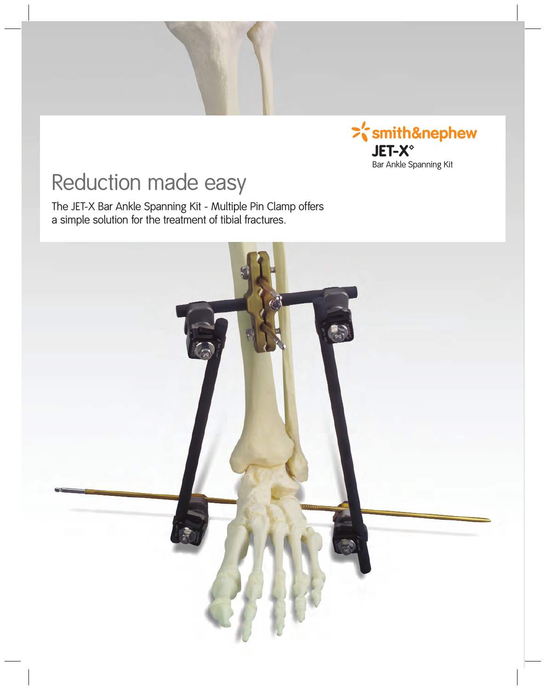

## Reduction made easy

The JET-X Bar Ankle Spanning Kit - Multiple Pin Clamp offers a simple solution for the treatment of tibial fractures.